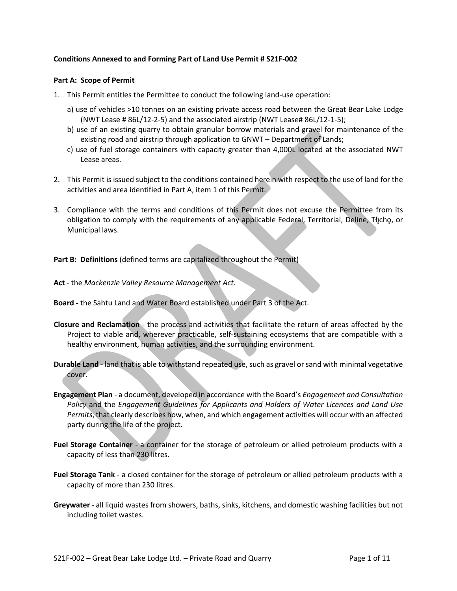#### **Conditions Annexed to and Forming Part of Land Use Permit # S21F-002**

#### **Part A: Scope of Permit**

- 1. This Permit entitles the Permittee to conduct the following land-use operation:
	- a) use of vehicles >10 tonnes on an existing private access road between the Great Bear Lake Lodge (NWT Lease # 86L/12-2-5) and the associated airstrip (NWT Lease# 86L/12-1-5);
	- b) use of an existing quarry to obtain granular borrow materials and gravel for maintenance of the existing road and airstrip through application to GNWT – Department of Lands;
	- c) use of fuel storage containers with capacity greater than 4,000L located at the associated NWT Lease areas.
- 2. This Permit is issued subject to the conditions contained herein with respect to the use of land for the activities and area identified in Part A, item 1 of this Permit.
- 3. Compliance with the terms and conditions of this Permit does not excuse the Permittee from its obligation to comply with the requirements of any applicable Federal, Territorial, Deline, Tłįchą, or Municipal laws.

**Part B: Definitions** (defined terms are capitalized throughout the Permit)

- **Act** the *Mackenzie Valley Resource Management Act.*
- **Board -** the Sahtu Land and Water Board established under Part 3 of the Act.
- **Closure and Reclamation** the process and activities that facilitate the return of areas affected by the Project to viable and, wherever practicable, self-sustaining ecosystems that are compatible with a healthy environment, human activities, and the surrounding environment.
- **Durable Land** land that is able to withstand repeated use, such as gravel or sand with minimal vegetative cover.
- **Engagement Plan**  a document, developed in accordance with the Board's *Engagement and Consultation Policy* and the *Engagement Guidelines for Applicants and Holders of Water Licences and Land Use Permits*, that clearly describes how, when, and which engagement activities will occur with an affected party during the life of the project.
- **Fuel Storage Container** a container for the storage of petroleum or allied petroleum products with a capacity of less than 230 litres.
- **Fuel Storage Tank**  a closed container for the storage of petroleum or allied petroleum products with a capacity of more than 230 litres.
- **Greywater** all liquid wastes from showers, baths, sinks, kitchens, and domestic washing facilities but not including toilet wastes.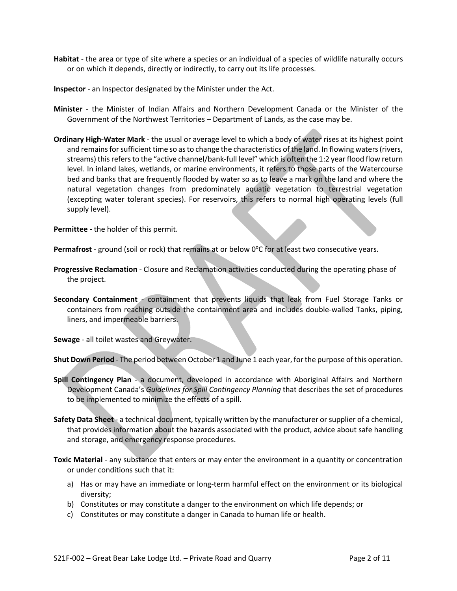- **Habitat** the area or type of site where a species or an individual of a species of wildlife naturally occurs or on which it depends, directly or indirectly, to carry out its life processes.
- **Inspector**  an Inspector designated by the Minister under the Act.
- **Minister** the Minister of Indian Affairs and Northern Development Canada or the Minister of the Government of the Northwest Territories – Department of Lands, as the case may be.
- **Ordinary High-Water Mark**  the usual or average level to which a body of water rises at its highest point and remains for sufficient time so as to change the characteristics of the land. In flowing waters (rivers, streams) this refers to the "active channel/bank-full level" which is often the 1:2 year flood flow return level. In inland lakes, wetlands, or marine environments, it refers to those parts of the Watercourse bed and banks that are frequently flooded by water so as to leave a mark on the land and where the natural vegetation changes from predominately aquatic vegetation to terrestrial vegetation (excepting water tolerant species). For reservoirs, this refers to normal high operating levels (full supply level).

**Permittee -** the holder of this permit.

Permafrost - ground (soil or rock) that remains at or below 0°C for at least two consecutive years.

- **Progressive Reclamation**  Closure and Reclamation activities conducted during the operating phase of the project.
- **Secondary Containment** containment that prevents liquids that leak from Fuel Storage Tanks or containers from reaching outside the containment area and includes double-walled Tanks, piping, liners, and impermeable barriers.

**Sewage** - all toilet wastes and Greywater.

**Shut Down Period** - The period between October 1 and June 1 each year, for the purpose of this operation.

- **Spill Contingency Plan** a document, developed in accordance with Aboriginal Affairs and Northern Development Canada's *Guidelines for Spill Contingency Planning* that describes the set of procedures to be implemented to minimize the effects of a spill.
- **Safety Data Sheet**  a technical document, typically written by the manufacturer or supplier of a chemical, that provides information about the hazards associated with the product, advice about safe handling and storage, and emergency response procedures.
- **Toxic Material** any substance that enters or may enter the environment in a quantity or concentration or under conditions such that it:
	- a) Has or may have an immediate or long-term harmful effect on the environment or its biological diversity;
	- b) Constitutes or may constitute a danger to the environment on which life depends; or
	- c) Constitutes or may constitute a danger in Canada to human life or health.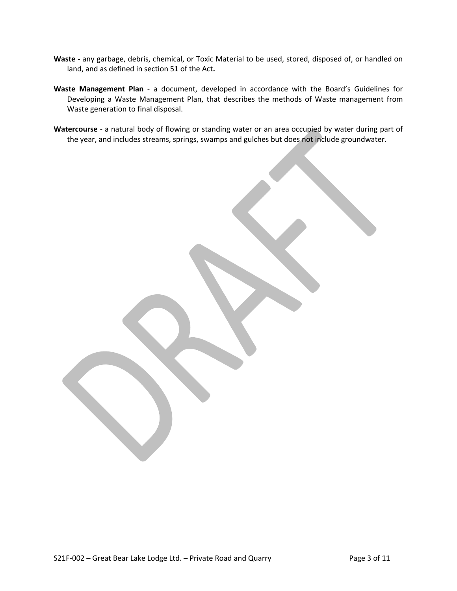- **Waste -** any garbage, debris, chemical, or Toxic Material to be used, stored, disposed of, or handled on land, and as defined in section 51 of the Act**.**
- **Waste Management Plan** a document, developed in accordance with the Board's Guidelines for Developing a Waste Management Plan, that describes the methods of Waste management from Waste generation to final disposal.
- **Watercourse** a natural body of flowing or standing water or an area occupied by water during part of the year, and includes streams, springs, swamps and gulches but does not include groundwater.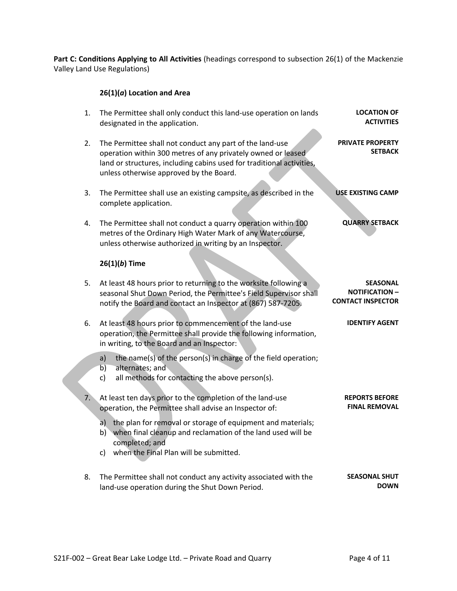Part C: Conditions Applying to All Activities (headings correspond to subsection 26(1) of the Mackenzie Valley Land Use Regulations)

# **26(1)(***a***) Location and Area**

| 1. | The Permittee shall only conduct this land-use operation on lands<br>designated in the application.                                                                                                                                          | <b>LOCATION OF</b><br><b>ACTIVITIES</b>                              |
|----|----------------------------------------------------------------------------------------------------------------------------------------------------------------------------------------------------------------------------------------------|----------------------------------------------------------------------|
| 2. | The Permittee shall not conduct any part of the land-use<br>operation within 300 metres of any privately owned or leased<br>land or structures, including cabins used for traditional activities,<br>unless otherwise approved by the Board. | <b>PRIVATE PROPERTY</b><br><b>SETBACK</b>                            |
| 3. | The Permittee shall use an existing campsite, as described in the<br>complete application.                                                                                                                                                   | <b>USE EXISTING CAMP</b>                                             |
| 4. | The Permittee shall not conduct a quarry operation within 100<br>metres of the Ordinary High Water Mark of any Watercourse,<br>unless otherwise authorized in writing by an Inspector.                                                       | <b>QUARRY SETBACK</b>                                                |
|    | $26(1)(b)$ Time                                                                                                                                                                                                                              |                                                                      |
| 5. | At least 48 hours prior to returning to the worksite following a<br>seasonal Shut Down Period, the Permittee's Field Supervisor shall<br>notify the Board and contact an Inspector at (867) 587-7205.                                        | <b>SEASONAL</b><br><b>NOTIFICATION -</b><br><b>CONTACT INSPECTOR</b> |
| 6. | At least 48 hours prior to commencement of the land-use<br>operation, the Permittee shall provide the following information,<br>in writing, to the Board and an Inspector:                                                                   | <b>IDENTIFY AGENT</b>                                                |
|    | a)<br>the name(s) of the person(s) in charge of the field operation;<br>b)<br>alternates; and<br>all methods for contacting the above person(s).<br>c)                                                                                       |                                                                      |
| 7. | At least ten days prior to the completion of the land-use<br>operation, the Permittee shall advise an Inspector of:                                                                                                                          | <b>REPORTS BEFORE</b><br><b>FINAL REMOVAL</b>                        |
|    | the plan for removal or storage of equipment and materials;<br>a)<br>when final cleanup and reclamation of the land used will be<br>b)<br>completed; and                                                                                     |                                                                      |
|    | c) when the Final Plan will be submitted.                                                                                                                                                                                                    |                                                                      |
| 8. | The Permittee shall not conduct any activity associated with the<br>land-use operation during the Shut Down Period.                                                                                                                          | <b>SEASONAL SHUT</b><br><b>DOWN</b>                                  |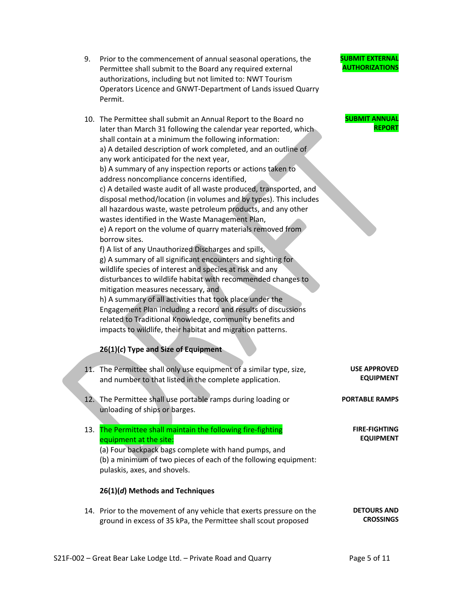- 9. Prior to the commencement of annual seasonal operations, the Permittee shall submit to the Board any required external authorizations, including but not limited to: NWT Tourism Operators Licence and GNWT-Department of Lands issued Quarry Permit.
- 10. The Permittee shall submit an Annual Report to the Board no later than March 31 following the calendar year reported, which shall contain at a minimum the following information: a) A detailed description of work completed, and an outline of any work anticipated for the next year, b) A summary of any inspection reports or actions taken to address noncompliance concerns identified, c) A detailed waste audit of all waste produced, transported, and disposal method/location (in volumes and by types). This includes all hazardous waste, waste petroleum products, and any other wastes identified in the Waste Management Plan, e) A report on the volume of quarry materials removed from borrow sites. f) A list of any Unauthorized Discharges and spills, g) A summary of all significant encounters and sighting for wildlife species of interest and species at risk and any disturbances to wildlife habitat with recommended changes to mitigation measures necessary, and h) A summary of all activities that took place under the Engagement Plan including a record and results of discussions related to Traditional Knowledge, community benefits and impacts to wildlife, their habitat and migration patterns.

## **26(1)(***c***) Type and Size of Equipment**

- 11. The Permittee shall only use equipment of a similar type, size, and number to that listed in the complete application. **USE APPROVED EQUIPMENT PORTABLE RAMPS**
	- 12. The Permittee shall use portable ramps during loading or unloading of ships or barges.
	- 13. The Permittee shall maintain the following fire-fighting equipment at the site: (a) Four backpack bags complete with hand pumps, and

(b) a minimum of two pieces of each of the following equipment: pulaskis, axes, and shovels.

#### **26(1)(***d***) Methods and Techniques**

14. Prior to the movement of any vehicle that exerts pressure on the ground in excess of 35 kPa, the Permittee shall scout proposed **DETOURS AND CROSSINGS**

**AUTHORIZATIONS**

**SUBMIT EXTERNAL** 

## **SUBMIT ANNUAL REPORT**

**FIRE-FIGHTING EQUIPMENT**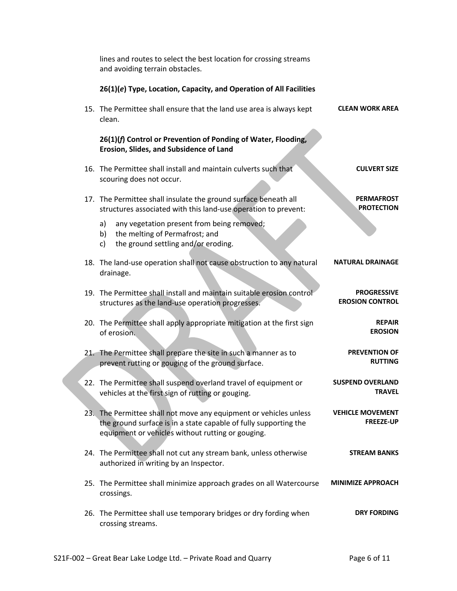|                                              | lines and routes to select the best location for crossing streams<br>and avoiding terrain obstacles.                                                                                       |  |
|----------------------------------------------|--------------------------------------------------------------------------------------------------------------------------------------------------------------------------------------------|--|
|                                              | 26(1)(e) Type, Location, Capacity, and Operation of All Facilities                                                                                                                         |  |
| <b>CLEAN WORK AREA</b>                       | 15. The Permittee shall ensure that the land use area is always kept<br>clean.                                                                                                             |  |
|                                              | 26(1)(f) Control or Prevention of Ponding of Water, Flooding,<br>Erosion, Slides, and Subsidence of Land                                                                                   |  |
| <b>CULVERT SIZE</b>                          | 16. The Permittee shall install and maintain culverts such that<br>scouring does not occur.                                                                                                |  |
| <b>PERMAFROST</b><br><b>PROTECTION</b>       | 17. The Permittee shall insulate the ground surface beneath all<br>structures associated with this land-use operation to prevent:                                                          |  |
|                                              | any vegetation present from being removed;<br>a)<br>the melting of Permafrost; and<br>b)<br>the ground settling and/or eroding.<br>c)                                                      |  |
| <b>NATURAL DRAINAGE</b>                      | 18. The land-use operation shall not cause obstruction to any natural<br>drainage.                                                                                                         |  |
| <b>PROGRESSIVE</b><br><b>EROSION CONTROL</b> | 19. The Permittee shall install and maintain suitable erosion control<br>structures as the land-use operation progresses.                                                                  |  |
| <b>REPAIR</b><br><b>EROSION</b>              | 20. The Permittee shall apply appropriate mitigation at the first sign<br>of erosion.                                                                                                      |  |
| <b>PREVENTION OF</b><br><b>RUTTING</b>       | 21. The Permittee shall prepare the site in such a manner as to<br>prevent rutting or gouging of the ground surface.                                                                       |  |
| <b>SUSPEND OVERLAND</b><br><b>TRAVEL</b>     | 22. The Permittee shall suspend overland travel of equipment or<br>vehicles at the first sign of rutting or gouging.                                                                       |  |
| <b>VEHICLE MOVEMENT</b><br><b>FREEZE-UP</b>  | 23. The Permittee shall not move any equipment or vehicles unless<br>the ground surface is in a state capable of fully supporting the<br>equipment or vehicles without rutting or gouging. |  |
| <b>STREAM BANKS</b>                          | 24. The Permittee shall not cut any stream bank, unless otherwise<br>authorized in writing by an Inspector.                                                                                |  |
| <b>MINIMIZE APPROACH</b>                     | 25. The Permittee shall minimize approach grades on all Watercourse<br>crossings.                                                                                                          |  |
| <b>DRY FORDING</b>                           | 26. The Permittee shall use temporary bridges or dry fording when<br>crossing streams.                                                                                                     |  |
|                                              |                                                                                                                                                                                            |  |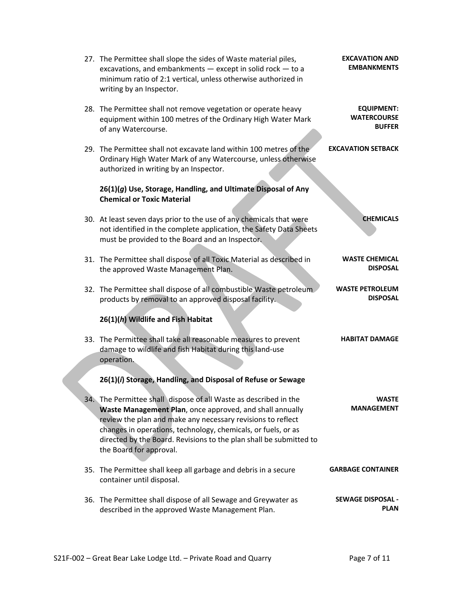| 27. The Permittee shall slope the sides of Waste material piles,<br>excavations, and embankments - except in solid rock - to a<br>minimum ratio of 2:1 vertical, unless otherwise authorized in<br>writing by an Inspector.                                                                                                                                   | <b>EXCAVATION AND</b><br><b>EMBANKMENTS</b>              |
|---------------------------------------------------------------------------------------------------------------------------------------------------------------------------------------------------------------------------------------------------------------------------------------------------------------------------------------------------------------|----------------------------------------------------------|
| 28. The Permittee shall not remove vegetation or operate heavy<br>equipment within 100 metres of the Ordinary High Water Mark<br>of any Watercourse.                                                                                                                                                                                                          | <b>EQUIPMENT:</b><br><b>WATERCOURSE</b><br><b>BUFFER</b> |
| 29. The Permittee shall not excavate land within 100 metres of the<br>Ordinary High Water Mark of any Watercourse, unless otherwise<br>authorized in writing by an Inspector.                                                                                                                                                                                 | <b>EXCAVATION SETBACK</b>                                |
| 26(1)(g) Use, Storage, Handling, and Ultimate Disposal of Any<br><b>Chemical or Toxic Material</b>                                                                                                                                                                                                                                                            |                                                          |
| 30. At least seven days prior to the use of any chemicals that were<br>not identified in the complete application, the Safety Data Sheets<br>must be provided to the Board and an Inspector.                                                                                                                                                                  | <b>CHEMICALS</b>                                         |
| 31. The Permittee shall dispose of all Toxic Material as described in<br>the approved Waste Management Plan.                                                                                                                                                                                                                                                  | <b>WASTE CHEMICAL</b><br><b>DISPOSAL</b>                 |
| 32. The Permittee shall dispose of all combustible Waste petroleum<br>products by removal to an approved disposal facility.                                                                                                                                                                                                                                   | <b>WASTE PETROLEUM</b><br><b>DISPOSAL</b>                |
| 26(1)(h) Wildlife and Fish Habitat                                                                                                                                                                                                                                                                                                                            |                                                          |
| 33. The Permittee shall take all reasonable measures to prevent<br>damage to wildlife and fish Habitat during this land-use<br>operation.                                                                                                                                                                                                                     | <b>HABITAT DAMAGE</b>                                    |
| 26(1)(i) Storage, Handling, and Disposal of Refuse or Sewage                                                                                                                                                                                                                                                                                                  |                                                          |
| 34. The Permittee shall dispose of all Waste as described in the<br>Waste Management Plan, once approved, and shall annually<br>review the plan and make any necessary revisions to reflect<br>changes in operations, technology, chemicals, or fuels, or as<br>directed by the Board. Revisions to the plan shall be submitted to<br>the Board for approval. | WASTF<br><b>MANAGEMENT</b>                               |
| 35. The Permittee shall keep all garbage and debris in a secure<br>container until disposal.                                                                                                                                                                                                                                                                  | <b>GARBAGE CONTAINER</b>                                 |
| 36. The Permittee shall dispose of all Sewage and Greywater as<br>described in the approved Waste Management Plan.                                                                                                                                                                                                                                            | <b>SEWAGE DISPOSAL -</b><br><b>PLAN</b>                  |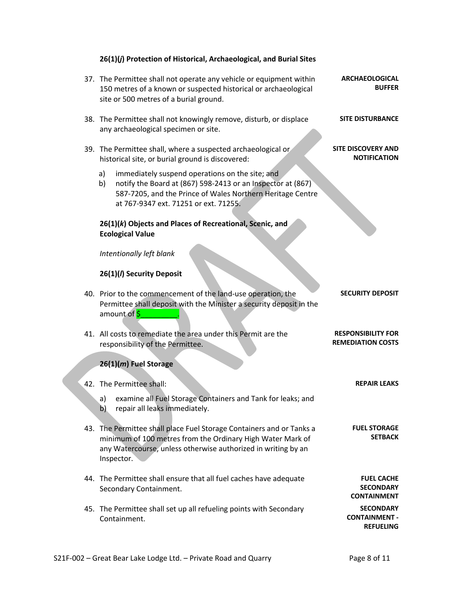| 26(1)(j) Protection of Historical, Archaeological, and Burial Sites                                                                                                                                                               |                                                              |
|-----------------------------------------------------------------------------------------------------------------------------------------------------------------------------------------------------------------------------------|--------------------------------------------------------------|
| 37. The Permittee shall not operate any vehicle or equipment within<br>150 metres of a known or suspected historical or archaeological<br>site or 500 metres of a burial ground.                                                  | <b>ARCHAEOLOGICAL</b><br><b>BUFFER</b>                       |
| 38. The Permittee shall not knowingly remove, disturb, or displace<br>any archaeological specimen or site.                                                                                                                        | <b>SITE DISTURBANCE</b>                                      |
| 39. The Permittee shall, where a suspected archaeological or<br>historical site, or burial ground is discovered:                                                                                                                  | <b>SITE DISCOVERY AND</b><br><b>NOTIFICATION</b>             |
| a)<br>immediately suspend operations on the site; and<br>notify the Board at (867) 598-2413 or an Inspector at (867)<br>b)<br>587-7205, and the Prince of Wales Northern Heritage Centre<br>at 767-9347 ext. 71251 or ext. 71255. |                                                              |
| 26(1)(k) Objects and Places of Recreational, Scenic, and<br><b>Ecological Value</b>                                                                                                                                               |                                                              |
| Intentionally left blank                                                                                                                                                                                                          |                                                              |
| 26(1)(/) Security Deposit                                                                                                                                                                                                         |                                                              |
| 40. Prior to the commencement of the land-use operation, the<br>Permittee shall deposit with the Minister a security deposit in the<br>amount of \$                                                                               | <b>SECURITY DEPOSIT</b>                                      |
| 41. All costs to remediate the area under this Permit are the<br>responsibility of the Permittee.                                                                                                                                 | <b>RESPONSIBILITY FOR</b><br><b>REMEDIATION COSTS</b>        |
| 26(1)(m) Fuel Storage                                                                                                                                                                                                             |                                                              |
| 42. The Permittee shall:                                                                                                                                                                                                          | <b>REPAIR LEAKS</b>                                          |
| examine all Fuel Storage Containers and Tank for leaks; and<br>a)<br>repair all leaks immediately.<br>b)                                                                                                                          |                                                              |
| 43. The Permittee shall place Fuel Storage Containers and or Tanks a<br>minimum of 100 metres from the Ordinary High Water Mark of<br>any Watercourse, unless otherwise authorized in writing by an<br>Inspector.                 | <b>FUEL STORAGE</b><br><b>SETBACK</b>                        |
| 44. The Permittee shall ensure that all fuel caches have adequate<br>Secondary Containment.                                                                                                                                       | <b>FUEL CACHE</b><br><b>SECONDARY</b><br><b>CONTAINMENT</b>  |
| 45. The Permittee shall set up all refueling points with Secondary<br>Containment.                                                                                                                                                | <b>SECONDARY</b><br><b>CONTAINMENT -</b><br><b>REFUELING</b> |

# S21F-002 - Great Bear Lake Lodge Ltd. - Private Road and Quarry Page 8 of 11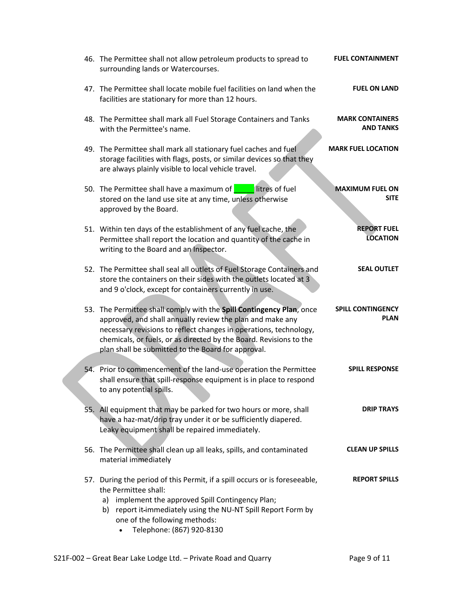| 46. The Permittee shall not allow petroleum products to spread to<br>surrounding lands or Watercourses.                                                                                                                                                                                                                            | <b>FUEL CONTAINMENT</b>                    |
|------------------------------------------------------------------------------------------------------------------------------------------------------------------------------------------------------------------------------------------------------------------------------------------------------------------------------------|--------------------------------------------|
| 47. The Permittee shall locate mobile fuel facilities on land when the<br>facilities are stationary for more than 12 hours.                                                                                                                                                                                                        | <b>FUEL ON LAND</b>                        |
| 48. The Permittee shall mark all Fuel Storage Containers and Tanks<br>with the Permittee's name.                                                                                                                                                                                                                                   | <b>MARK CONTAINERS</b><br><b>AND TANKS</b> |
| 49. The Permittee shall mark all stationary fuel caches and fuel<br>storage facilities with flags, posts, or similar devices so that they<br>are always plainly visible to local vehicle travel.                                                                                                                                   | <b>MARK FUEL LOCATION</b>                  |
| 50. The Permittee shall have a maximum of<br>litres of fuel<br>stored on the land use site at any time, unless otherwise<br>approved by the Board.                                                                                                                                                                                 | <b>MAXIMUM FUEL ON</b><br><b>SITE</b>      |
| 51. Within ten days of the establishment of any fuel cache, the<br>Permittee shall report the location and quantity of the cache in<br>writing to the Board and an Inspector.                                                                                                                                                      | <b>REPORT FUEL</b><br><b>LOCATION</b>      |
| 52. The Permittee shall seal all outlets of Fuel Storage Containers and<br>store the containers on their sides with the outlets located at 3<br>and 9 o'clock, except for containers currently in use.                                                                                                                             | <b>SEAL OUTLET</b>                         |
| 53. The Permittee shall comply with the Spill Contingency Plan, once<br>approved, and shall annually review the plan and make any<br>necessary revisions to reflect changes in operations, technology,<br>chemicals, or fuels, or as directed by the Board. Revisions to the<br>plan shall be submitted to the Board for approval. | <b>SPILL CONTINGENCY</b><br><b>PLAN</b>    |
| 54. Prior to commencement of the land-use operation the Permittee<br>shall ensure that spill-response equipment is in place to respond<br>to any potential spills.                                                                                                                                                                 | <b>SPILL RESPONSE</b>                      |
| 55. All equipment that may be parked for two hours or more, shall<br>have a haz-mat/drip tray under it or be sufficiently diapered.<br>Leaky equipment shall be repaired immediately.                                                                                                                                              | <b>DRIP TRAYS</b>                          |
| 56. The Permittee shall clean up all leaks, spills, and contaminated<br>material immediately                                                                                                                                                                                                                                       | <b>CLEAN UP SPILLS</b>                     |
| 57. During the period of this Permit, if a spill occurs or is foreseeable,<br>the Permittee shall:<br>a) implement the approved Spill Contingency Plan;<br>b) report it-immediately using the NU-NT Spill Report Form by<br>one of the following methods:<br>Telephone: (867) 920-8130                                             | <b>REPORT SPILLS</b>                       |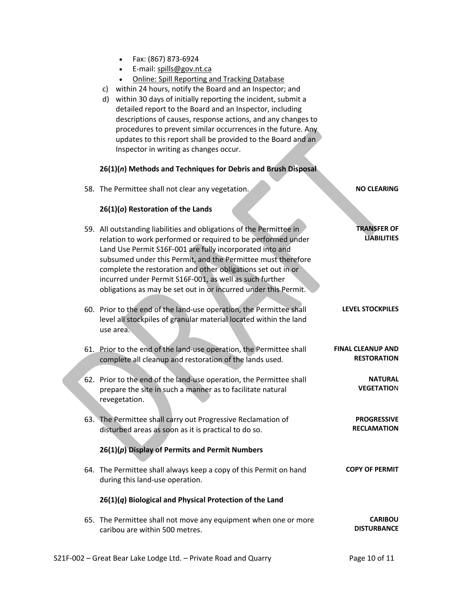- Fax: (867) 873-6924
- E-mail: spills@gov.nt.ca
- Online: Spill Reporting and Tracking Database
- c) within 24 hours, notify the Board and an Inspector; and
- d) within 30 days of initially reporting the incident, submit a detailed report to the Board and an Inspector, including descriptions of causes, response actions, and any changes to procedures to prevent similar occurrences in the future. Any updates to this report shall be provided to the Board and an Inspector in writing as changes occur.

### **26(1)(***n***) Methods and Techniques for Debris and Brush Disposal**

58. The Permittee shall not clear any vegetation. **NO CLEARING**

#### **26(1)(***o***) Restoration of the Lands**

| 59. All outstanding liabilities and obligations of the Permittee in<br>relation to work performed or required to be performed under<br>Land Use Permit S16F-001 are fully incorporated into and<br>subsumed under this Permit, and the Permittee must therefore<br>complete the restoration and other obligations set out in or<br>incurred under Permit S16F-001, as well as such further<br>obligations as may be set out in or incurred under this Permit. | <b>TRANSFER OF</b><br><b>LIABILITIES</b>       |
|---------------------------------------------------------------------------------------------------------------------------------------------------------------------------------------------------------------------------------------------------------------------------------------------------------------------------------------------------------------------------------------------------------------------------------------------------------------|------------------------------------------------|
| 60. Prior to the end of the land-use operation, the Permittee shall<br>level all stockpiles of granular material located within the land<br>use area.                                                                                                                                                                                                                                                                                                         | <b>LEVEL STOCKPILES</b>                        |
| 61. Prior to the end of the land-use operation, the Permittee shall<br>complete all cleanup and restoration of the lands used.                                                                                                                                                                                                                                                                                                                                | <b>FINAL CLEANUP AND</b><br><b>RESTORATION</b> |
| 62. Prior to the end of the land-use operation, the Permittee shall<br>prepare the site in such a manner as to facilitate natural<br>revegetation.                                                                                                                                                                                                                                                                                                            | <b>NATURAL</b><br><b>VEGETATION</b>            |
| 63. The Permittee shall carry out Progressive Reclamation of<br>disturbed areas as soon as it is practical to do so.                                                                                                                                                                                                                                                                                                                                          | <b>PROGRESSIVE</b><br><b>RECLAMATION</b>       |
| $26(1)(p)$ Display of Permits and Permit Numbers                                                                                                                                                                                                                                                                                                                                                                                                              |                                                |
| 64. The Permittee shall always keep a copy of this Permit on hand<br>during this land-use operation.                                                                                                                                                                                                                                                                                                                                                          | <b>COPY OF PERMIT</b>                          |
| 26(1)(q) Biological and Physical Protection of the Land                                                                                                                                                                                                                                                                                                                                                                                                       |                                                |
| 65. The Permittee shall not move any equipment when one or more<br>caribou are within 500 metres.                                                                                                                                                                                                                                                                                                                                                             | <b>CARIBOU</b><br><b>DISTURBANCE</b>           |